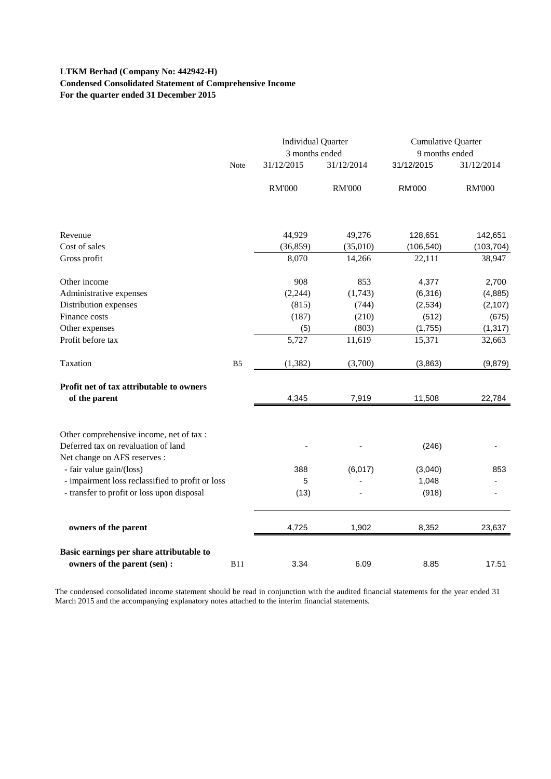# **LTKM Berhad (Company No: 442942-H) Condensed Consolidated Statement of Comprehensive Income For the quarter ended 31 December 2015**

|                                                                                                                 |                | <b>Individual Quarter</b><br>3 months ended |               | <b>Cumulative Quarter</b><br>9 months ended |               |
|-----------------------------------------------------------------------------------------------------------------|----------------|---------------------------------------------|---------------|---------------------------------------------|---------------|
|                                                                                                                 | Note           | 31/12/2015                                  | 31/12/2014    | 31/12/2015                                  | 31/12/2014    |
|                                                                                                                 |                | <b>RM'000</b>                               | <b>RM'000</b> | <b>RM'000</b>                               | <b>RM'000</b> |
|                                                                                                                 |                |                                             |               |                                             |               |
| Revenue                                                                                                         |                | 44,929                                      | 49,276        | 128,651                                     | 142,651       |
| Cost of sales                                                                                                   |                | (36, 859)                                   | (35,010)      | (106, 540)                                  | (103, 704)    |
| Gross profit                                                                                                    |                | 8,070                                       | 14,266        | 22,111                                      | 38,947        |
| Other income                                                                                                    |                | 908                                         | 853           | 4,377                                       | 2,700         |
| Administrative expenses                                                                                         |                | (2,244)                                     | (1,743)       | (6,316)                                     | (4,885)       |
| Distribution expenses                                                                                           |                | (815)                                       | (744)         | (2,534)                                     | (2, 107)      |
| Finance costs                                                                                                   |                | (187)                                       | (210)         | (512)                                       | (675)         |
| Other expenses                                                                                                  |                | (5)                                         | (803)         | (1,755)                                     | (1, 317)      |
| Profit before tax                                                                                               |                | 5,727                                       | 11,619        | 15,371                                      | 32,663        |
| Taxation                                                                                                        | B <sub>5</sub> | (1, 382)                                    | (3,700)       | (3,863)                                     | (9,879)       |
| Profit net of tax attributable to owners<br>of the parent                                                       |                | 4,345                                       | 7,919         | 11,508                                      | 22,784        |
| Other comprehensive income, net of tax :<br>Deferred tax on revaluation of land<br>Net change on AFS reserves : |                |                                             |               | (246)                                       |               |
| - fair value gain/(loss)                                                                                        |                | 388                                         | (6,017)       | (3,040)                                     | 853           |
| - impairment loss reclassified to profit or loss                                                                |                | 5                                           |               | 1,048                                       |               |
| - transfer to profit or loss upon disposal                                                                      |                | (13)                                        |               | (918)                                       |               |
| owners of the parent                                                                                            |                | 4,725                                       | 1,902         | 8,352                                       | 23,637        |
| Basic earnings per share attributable to                                                                        |                |                                             |               |                                             |               |
| owners of the parent (sen) :                                                                                    | <b>B11</b>     | 3.34                                        | 6.09          | 8.85                                        | 17.51         |

The condensed consolidated income statement should be read in conjunction with the audited financial statements for the year ended 31 March 2015 and the accompanying explanatory notes attached to the interim financial statements.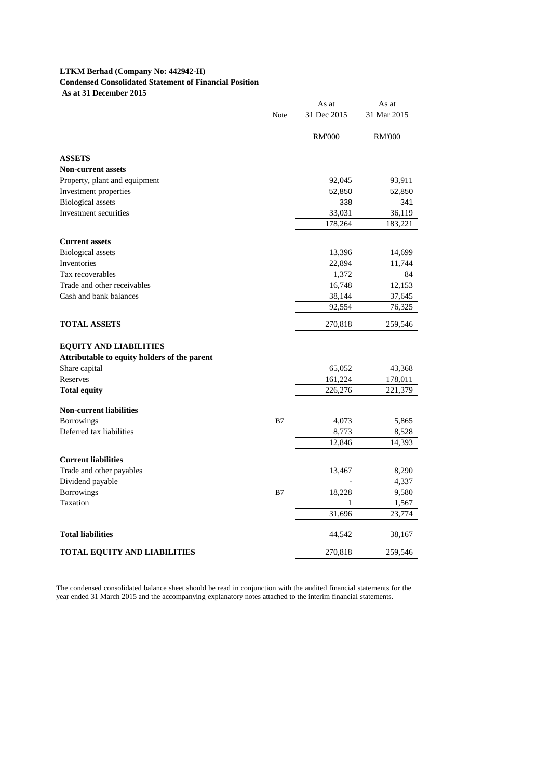### **LTKM Berhad (Company No: 442942-H) Condensed Consolidated Statement of Financial Position As at 31 December 2015**

|                                              |      | As at         | As at         |
|----------------------------------------------|------|---------------|---------------|
|                                              | Note | 31 Dec 2015   | 31 Mar 2015   |
|                                              |      | <b>RM'000</b> | <b>RM'000</b> |
| <b>ASSETS</b>                                |      |               |               |
| <b>Non-current assets</b>                    |      |               |               |
| Property, plant and equipment                |      | 92,045        | 93,911        |
| Investment properties                        |      | 52,850        | 52,850        |
| <b>Biological</b> assets                     |      | 338           | 341           |
| Investment securities                        |      | 33,031        | 36,119        |
|                                              |      | 178,264       | 183,221       |
| <b>Current assets</b>                        |      |               |               |
| Biological assets                            |      | 13,396        | 14,699        |
| Inventories                                  |      | 22,894        | 11,744        |
| Tax recoverables                             |      | 1,372         | 84            |
| Trade and other receivables                  |      | 16,748        | 12,153        |
| Cash and bank balances                       |      | 38,144        | 37,645        |
|                                              |      | 92,554        | 76,325        |
| <b>TOTAL ASSETS</b>                          |      | 270,818       | 259,546       |
| <b>EQUITY AND LIABILITIES</b>                |      |               |               |
| Attributable to equity holders of the parent |      |               |               |
| Share capital                                |      | 65,052        | 43,368        |
| Reserves                                     |      | 161,224       | 178,011       |
| <b>Total equity</b>                          |      | 226,276       | 221,379       |
| <b>Non-current liabilities</b>               |      |               |               |
| <b>Borrowings</b>                            | B7   | 4,073         | 5,865         |
| Deferred tax liabilities                     |      | 8,773         | 8,528         |
|                                              |      | 12,846        | 14,393        |
| <b>Current liabilities</b>                   |      |               |               |
| Trade and other payables                     |      | 13,467        | 8,290         |
| Dividend payable                             |      |               | 4,337         |
| Borrowings                                   | B7   | 18,228        | 9,580         |
| Taxation                                     |      | 1             | 1,567         |
|                                              |      | 31,696        | 23,774        |
|                                              |      |               |               |
| <b>Total liabilities</b>                     |      | 44,542        | 38,167        |
| <b>TOTAL EQUITY AND LIABILITIES</b>          |      | 270,818       | 259,546       |

The condensed consolidated balance sheet should be read in conjunction with the audited financial statements for the year ended 31 March 2015 and the accompanying explanatory notes attached to the interim financial statements.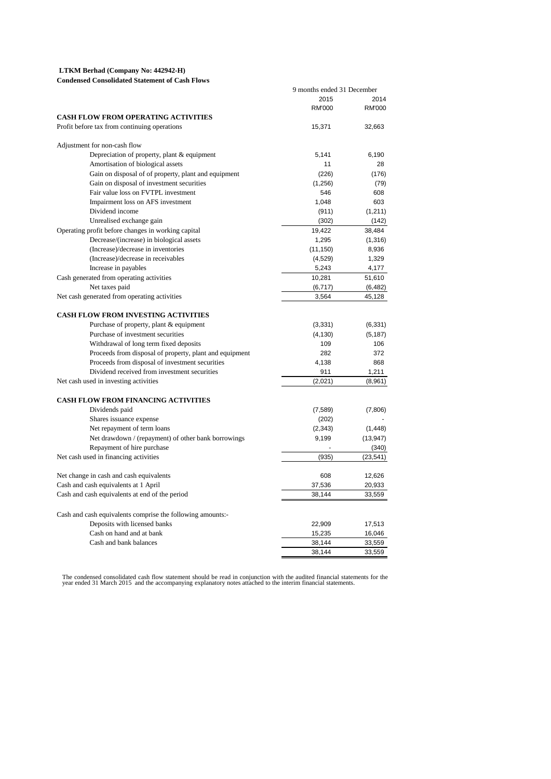#### **LTKM Berhad (Company No: 442942-H)**

**Condensed Consolidated Statement of Cash Flows**

|                                                            | 9 months ended 31 December |               |
|------------------------------------------------------------|----------------------------|---------------|
|                                                            | 2015                       | 2014          |
|                                                            | RM'000                     | <b>RM'000</b> |
| <b>CASH FLOW FROM OPERATING ACTIVITIES</b>                 |                            |               |
| Profit before tax from continuing operations               | 15,371                     | 32,663        |
| Adjustment for non-cash flow                               |                            |               |
| Depreciation of property, plant & equipment                | 5,141                      | 6,190         |
| Amortisation of biological assets                          | 11                         | 28            |
| Gain on disposal of of property, plant and equipment       | (226)                      | (176)         |
| Gain on disposal of investment securities                  | (1,256)                    | (79)          |
| Fair value loss on FVTPL investment                        | 546                        | 608           |
| Impairment loss on AFS investment                          | 1,048                      | 603           |
| Dividend income                                            | (911)                      | (1, 211)      |
| Unrealised exchange gain                                   | (302)                      | (142)         |
| Operating profit before changes in working capital         | 19,422                     | 38,484        |
| Decrease/(increase) in biological assets                   | 1,295                      | (1,316)       |
| (Increase)/decrease in inventories                         | (11, 150)                  | 8,936         |
| (Increase)/decrease in receivables                         | (4, 529)                   | 1,329         |
| Increase in payables                                       | 5,243                      | 4,177         |
| Cash generated from operating activities                   | 10,281                     | 51,610        |
| Net taxes paid                                             | (6, 717)                   | (6, 482)      |
| Net cash generated from operating activities               | 3,564                      | 45,128        |
| <b>CASH FLOW FROM INVESTING ACTIVITIES</b>                 |                            |               |
| Purchase of property, plant & equipment                    | (3, 331)                   | (6, 331)      |
| Purchase of investment securities                          | (4, 130)                   | (5, 187)      |
| Withdrawal of long term fixed deposits                     | 109                        | 106           |
| Proceeds from disposal of property, plant and equipment    | 282                        | 372           |
| Proceeds from disposal of investment securities            | 4,138                      | 868           |
| Dividend received from investment securities               | 911                        | 1.211         |
| Net cash used in investing activities                      | (2,021)                    | (8,961)       |
|                                                            |                            |               |
| <b>CASH FLOW FROM FINANCING ACTIVITIES</b>                 |                            |               |
| Dividends paid                                             | (7, 589)                   | (7,806)       |
| Shares issuance expense                                    | (202)                      |               |
| Net repayment of term loans                                | (2, 343)                   | (1, 448)      |
| Net drawdown / (repayment) of other bank borrowings        | 9,199                      | (13, 947)     |
| Repayment of hire purchase                                 |                            | (340)         |
| Net cash used in financing activities                      | (935)                      | (23, 541)     |
| Net change in cash and cash equivalents                    | 608                        | 12,626        |
| Cash and cash equivalents at 1 April                       | 37,536                     | 20,933        |
| Cash and cash equivalents at end of the period             | 38,144                     | 33,559        |
| Cash and cash equivalents comprise the following amounts:- |                            |               |
| Deposits with licensed banks                               | 22,909                     | 17,513        |
| Cash on hand and at bank                                   | 15,235                     | 16,046        |
| Cash and bank balances                                     | 38,144                     | 33,559        |
|                                                            | 38,144                     | 33,559        |
|                                                            |                            |               |

The condensed consolidated cash flow statement should be read in conjunction with the audited financial statements for the<br>year ended 31 March 2015 and the accompanying explanatory notes attached to the interim financial s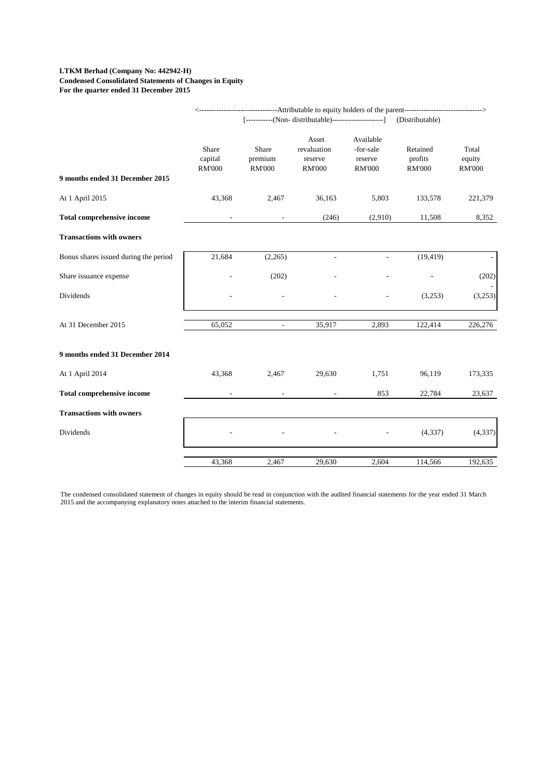#### **LTKM Berhad (Company No: 442942-H) Condensed Consolidated Statements of Changes in Equity For the quarter ended 31 December 2015**

|                                       | <----------------------------------Attributable to equity holders of the parent------------------------------><br>[-----------(Non- distributable)----------------------] |                                   |                                                  |                                                    |                                                         |                                  |  |
|---------------------------------------|---------------------------------------------------------------------------------------------------------------------------------------------------------------------------|-----------------------------------|--------------------------------------------------|----------------------------------------------------|---------------------------------------------------------|----------------------------------|--|
| 9 months ended 31 December 2015       | Share<br>capital<br><b>RM'000</b>                                                                                                                                         | Share<br>premium<br><b>RM'000</b> | Asset<br>revaluation<br>reserve<br><b>RM'000</b> | Available<br>-for-sale<br>reserve<br><b>RM'000</b> | (Distributable)<br>Retained<br>profits<br><b>RM'000</b> | Total<br>equity<br><b>RM'000</b> |  |
| At 1 April 2015                       | 43,368                                                                                                                                                                    | 2,467                             | 36,163                                           | 5,803                                              | 133,578                                                 | 221,379                          |  |
| <b>Total comprehensive income</b>     |                                                                                                                                                                           |                                   | (246)                                            | (2,910)                                            | 11,508                                                  | 8,352                            |  |
| <b>Transactions with owners</b>       |                                                                                                                                                                           |                                   |                                                  |                                                    |                                                         |                                  |  |
| Bonus shares issued during the period | 21,684                                                                                                                                                                    | (2,265)                           | ÷,                                               | $\mathcal{L}_{\mathcal{A}}$                        | (19, 419)                                               |                                  |  |
| Share issuance expense                |                                                                                                                                                                           | (202)                             |                                                  |                                                    |                                                         | (202)                            |  |
| Dividends                             |                                                                                                                                                                           |                                   |                                                  |                                                    | (3,253)                                                 | (3,253)                          |  |
| At 31 December 2015                   | 65,052                                                                                                                                                                    | $\overline{\phantom{a}}$          | 35,917                                           | 2,893                                              | 122,414                                                 | 226,276                          |  |
| 9 months ended 31 December 2014       |                                                                                                                                                                           |                                   |                                                  |                                                    |                                                         |                                  |  |
| At 1 April 2014                       | 43,368                                                                                                                                                                    | 2,467                             | 29,630                                           | 1,751                                              | 96,119                                                  | 173,335                          |  |
| <b>Total comprehensive income</b>     |                                                                                                                                                                           |                                   |                                                  | 853                                                | 22,784                                                  | 23,637                           |  |
| <b>Transactions with owners</b>       |                                                                                                                                                                           |                                   |                                                  |                                                    |                                                         |                                  |  |
| Dividends                             |                                                                                                                                                                           |                                   |                                                  |                                                    | (4, 337)                                                | (4, 337)                         |  |
|                                       | 43,368                                                                                                                                                                    | 2,467                             | 29,630                                           | 2,604                                              | 114,566                                                 | 192,635                          |  |

The condensed consolidated statement of changes in equity should be read in conjunction with the audited financial statements for the year ended 31 March 2015 and the accompanying explanatory notes attached to the interim financial statements.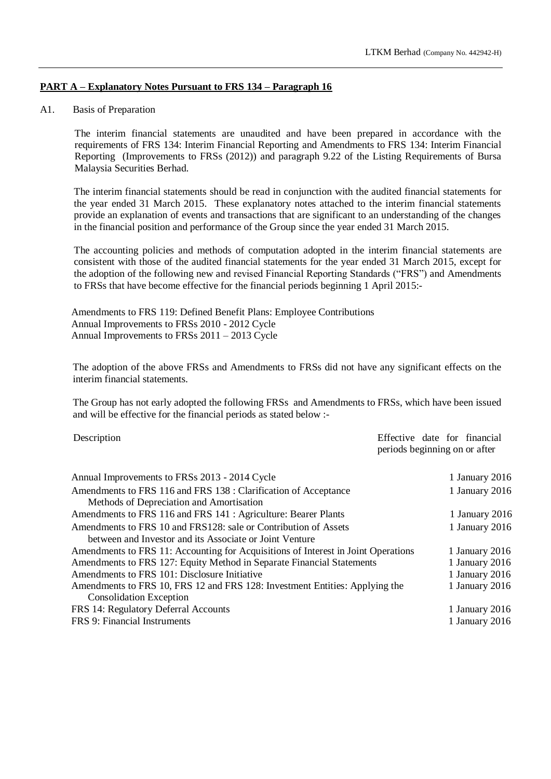# **PART A – Explanatory Notes Pursuant to FRS 134 – Paragraph 16**

### A1. Basis of Preparation

The interim financial statements are unaudited and have been prepared in accordance with the requirements of FRS 134: Interim Financial Reporting and Amendments to FRS 134: Interim Financial Reporting (Improvements to FRSs (2012)) and paragraph 9.22 of the Listing Requirements of Bursa Malaysia Securities Berhad.

The interim financial statements should be read in conjunction with the audited financial statements for the year ended 31 March 2015. These explanatory notes attached to the interim financial statements provide an explanation of events and transactions that are significant to an understanding of the changes in the financial position and performance of the Group since the year ended 31 March 2015.

The accounting policies and methods of computation adopted in the interim financial statements are consistent with those of the audited financial statements for the year ended 31 March 2015, except for the adoption of the following new and revised Financial Reporting Standards ("FRS") and Amendments to FRSs that have become effective for the financial periods beginning 1 April 2015:-

Amendments to FRS 119: Defined Benefit Plans: Employee Contributions Annual Improvements to FRSs 2010 - 2012 Cycle Annual Improvements to FRSs 2011 – 2013 Cycle

The adoption of the above FRSs and Amendments to FRSs did not have any significant effects on the interim financial statements.

The Group has not early adopted the following FRSs and Amendments to FRSs, which have been issued and will be effective for the financial periods as stated below :-

Description Effective date for financial periods beginning on or after

| Annual Improvements to FRSs 2013 - 2014 Cycle                                     | 1 January 2016 |
|-----------------------------------------------------------------------------------|----------------|
| Amendments to FRS 116 and FRS 138 : Clarification of Acceptance                   | 1 January 2016 |
| Methods of Depreciation and Amortisation                                          |                |
| Amendments to FRS 116 and FRS 141 : Agriculture: Bearer Plants                    | 1 January 2016 |
| Amendments to FRS 10 and FRS128: sale or Contribution of Assets                   | 1 January 2016 |
| between and Investor and its Associate or Joint Venture                           |                |
| Amendments to FRS 11: Accounting for Acquisitions of Interest in Joint Operations | 1 January 2016 |
| Amendments to FRS 127: Equity Method in Separate Financial Statements             | 1 January 2016 |
| Amendments to FRS 101: Disclosure Initiative                                      | 1 January 2016 |
| Amendments to FRS 10, FRS 12 and FRS 128: Investment Entities: Applying the       | 1 January 2016 |
| <b>Consolidation Exception</b>                                                    |                |
| FRS 14: Regulatory Deferral Accounts                                              | 1 January 2016 |
| FRS 9: Financial Instruments                                                      | 1 January 2016 |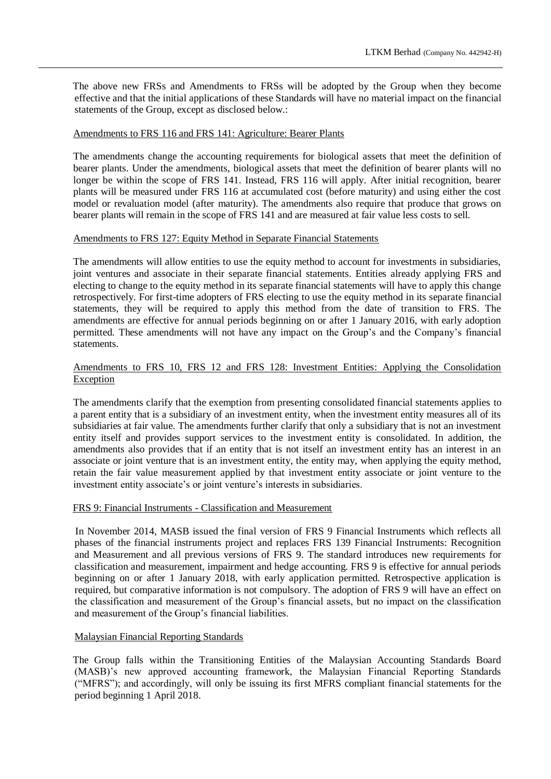The above new FRSs and Amendments to FRSs will be adopted by the Group when they become effective and that the initial applications of these Standards will have no material impact on the financial statements of the Group, except as disclosed below.:

### Amendments to FRS 116 and FRS 141: Agriculture: Bearer Plants

The amendments change the accounting requirements for biological assets that meet the definition of bearer plants. Under the amendments, biological assets that meet the definition of bearer plants will no longer be within the scope of FRS 141. Instead, FRS 116 will apply. After initial recognition, bearer plants will be measured under FRS 116 at accumulated cost (before maturity) and using either the cost model or revaluation model (after maturity). The amendments also require that produce that grows on bearer plants will remain in the scope of FRS 141 and are measured at fair value less costs to sell.

#### Amendments to FRS 127: Equity Method in Separate Financial Statements

The amendments will allow entities to use the equity method to account for investments in subsidiaries, joint ventures and associate in their separate financial statements. Entities already applying FRS and electing to change to the equity method in its separate financial statements will have to apply this change retrospectively. For first-time adopters of FRS electing to use the equity method in its separate financial statements, they will be required to apply this method from the date of transition to FRS. The amendments are effective for annual periods beginning on or after 1 January 2016, with early adoption permitted. These amendments will not have any impact on the Group's and the Company's financial statements.

# Amendments to FRS 10, FRS 12 and FRS 128: Investment Entities: Applying the Consolidation Exception

The amendments clarify that the exemption from presenting consolidated financial statements applies to a parent entity that is a subsidiary of an investment entity, when the investment entity measures all of its subsidiaries at fair value. The amendments further clarify that only a subsidiary that is not an investment entity itself and provides support services to the investment entity is consolidated. In addition, the amendments also provides that if an entity that is not itself an investment entity has an interest in an associate or joint venture that is an investment entity, the entity may, when applying the equity method, retain the fair value measurement applied by that investment entity associate or joint venture to the investment entity associate's or joint venture's interests in subsidiaries.

### FRS 9: Financial Instruments - Classification and Measurement

In November 2014, MASB issued the final version of FRS 9 Financial Instruments which reflects all phases of the financial instruments project and replaces FRS 139 Financial Instruments: Recognition and Measurement and all previous versions of FRS 9. The standard introduces new requirements for classification and measurement, impairment and hedge accounting. FRS 9 is effective for annual periods beginning on or after 1 January 2018, with early application permitted. Retrospective application is required, but comparative information is not compulsory. The adoption of FRS 9 will have an effect on the classification and measurement of the Group's financial assets, but no impact on the classification and measurement of the Group's financial liabilities.

## Malaysian Financial Reporting Standards

The Group falls within the Transitioning Entities of the Malaysian Accounting Standards Board (MASB)'s new approved accounting framework, the Malaysian Financial Reporting Standards ("MFRS"); and accordingly, will only be issuing its first MFRS compliant financial statements for the period beginning 1 April 2018.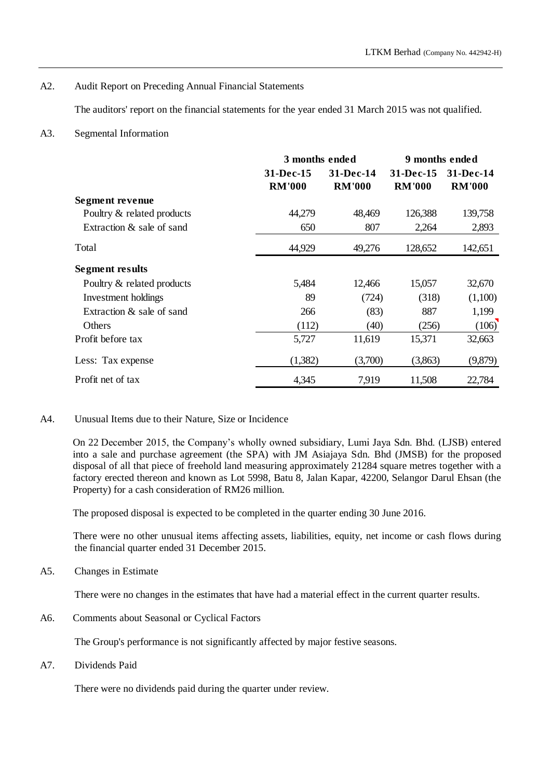# A2. Audit Report on Preceding Annual Financial Statements

The auditors' report on the financial statements for the year ended 31 March 2015 was not qualified.

# A3. Segmental Information

|                            | 3 months ended |               | 9 months ended |               |
|----------------------------|----------------|---------------|----------------|---------------|
|                            | 31-Dec-15      | 31-Dec-14     | 31-Dec-15      | 31-Dec-14     |
|                            | <b>RM'000</b>  | <b>RM'000</b> | <b>RM'000</b>  | <b>RM'000</b> |
| Segment revenue            |                |               |                |               |
| Poultry & related products | 44,279         | 48,469        | 126,388        | 139,758       |
| Extraction & sale of sand  | 650            | 807           | 2,264          | 2,893         |
| Total                      | 44,929         | 49,276        | 128,652        | 142,651       |
| <b>Segment results</b>     |                |               |                |               |
| Poultry & related products | 5,484          | 12,466        | 15,057         | 32,670        |
| Investment holdings        | 89             | (724)         | (318)          | (1,100)       |
| Extraction & sale of sand  | 266            | (83)          | 887            | 1,199         |
| Others                     | (112)          | (40)          | (256)          | (106)         |
| Profit before tax          | 5,727          | 11,619        | 15,371         | 32,663        |
| Less: Tax expense          | (1,382)        | (3,700)       | (3,863)        | (9,879)       |
| Profit net of tax          | 4,345          | 7,919         | 11,508         | 22,784        |

### A4. Unusual Items due to their Nature, Size or Incidence

On 22 December 2015, the Company's wholly owned subsidiary, Lumi Jaya Sdn. Bhd. (LJSB) entered into a sale and purchase agreement (the SPA) with JM Asiajaya Sdn. Bhd (JMSB) for the proposed disposal of all that piece of freehold land measuring approximately 21284 square metres together with a factory erected thereon and known as Lot 5998, Batu 8, Jalan Kapar, 42200, Selangor Darul Ehsan (the Property) for a cash consideration of RM26 million.

The proposed disposal is expected to be completed in the quarter ending 30 June 2016.

There were no other unusual items affecting assets, liabilities, equity, net income or cash flows during the financial quarter ended 31 December 2015.

A5. Changes in Estimate

There were no changes in the estimates that have had a material effect in the current quarter results.

A6. Comments about Seasonal or Cyclical Factors

The Group's performance is not significantly affected by major festive seasons.

A7. Dividends Paid

There were no dividends paid during the quarter under review.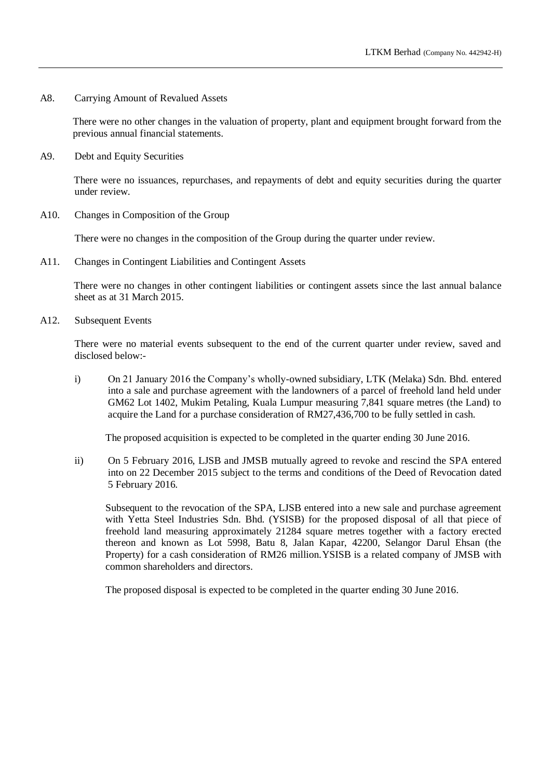A8. Carrying Amount of Revalued Assets

There were no other changes in the valuation of property, plant and equipment brought forward from the previous annual financial statements.

A9. Debt and Equity Securities

There were no issuances, repurchases, and repayments of debt and equity securities during the quarter under review.

A10. Changes in Composition of the Group

There were no changes in the composition of the Group during the quarter under review.

A11. Changes in Contingent Liabilities and Contingent Assets

There were no changes in other contingent liabilities or contingent assets since the last annual balance sheet as at 31 March 2015.

A12. Subsequent Events

There were no material events subsequent to the end of the current quarter under review, saved and disclosed below:-

i) On 21 January 2016 the Company's wholly-owned subsidiary, LTK (Melaka) Sdn. Bhd. entered into a sale and purchase agreement with the landowners of a parcel of freehold land held under GM62 Lot 1402, Mukim Petaling, Kuala Lumpur measuring 7,841 square metres (the Land) to acquire the Land for a purchase consideration of RM27,436,700 to be fully settled in cash.

The proposed acquisition is expected to be completed in the quarter ending 30 June 2016.

ii) On 5 February 2016, LJSB and JMSB mutually agreed to revoke and rescind the SPA entered into on 22 December 2015 subject to the terms and conditions of the Deed of Revocation dated 5 February 2016.

Subsequent to the revocation of the SPA, LJSB entered into a new sale and purchase agreement with Yetta Steel Industries Sdn. Bhd. (YSISB) for the proposed disposal of all that piece of freehold land measuring approximately 21284 square metres together with a factory erected thereon and known as Lot 5998, Batu 8, Jalan Kapar, 42200, Selangor Darul Ehsan (the Property) for a cash consideration of RM26 million. YSISB is a related company of JMSB with common shareholders and directors.

The proposed disposal is expected to be completed in the quarter ending 30 June 2016.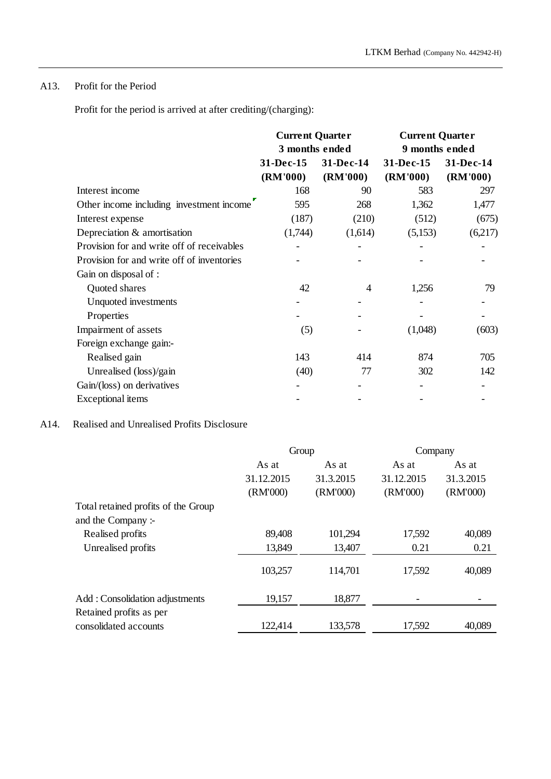# A13. Profit for the Period

Profit for the period is arrived at after crediting/(charging):

|                                            | <b>Current Quarter</b> |           | <b>Current Quarter</b> |           |  |
|--------------------------------------------|------------------------|-----------|------------------------|-----------|--|
|                                            | 3 months ended         |           | 9 months ended         |           |  |
|                                            | 31-Dec-15              | 31-Dec-14 | 31-Dec-15              | 31-Dec-14 |  |
|                                            | (RM'000)               | (RM'000)  | (RM'000)               | (RM'000)  |  |
| Interest income                            | 168                    | 90        | 583                    | 297       |  |
| Other income including investment income   | 595                    | 268       | 1,362                  | 1,477     |  |
| Interest expense                           | (187)                  | (210)     | (512)                  | (675)     |  |
| Depreciation & amortisation                | (1,744)                | (1,614)   | (5,153)                | (6,217)   |  |
| Provision for and write off of receivables |                        |           |                        |           |  |
| Provision for and write off of inventories |                        |           |                        |           |  |
| Gain on disposal of :                      |                        |           |                        |           |  |
| Quoted shares                              | 42                     | 4         | 1,256                  | 79        |  |
| Unquoted investments                       |                        |           |                        |           |  |
| Properties                                 |                        |           |                        |           |  |
| Impairment of assets                       | (5)                    |           | (1,048)                | (603)     |  |
| Foreign exchange gain:-                    |                        |           |                        |           |  |
| Realised gain                              | 143                    | 414       | 874                    | 705       |  |
| Unrealised (loss)/gain                     | (40)                   | 77        | 302                    | 142       |  |
| Gain/(loss) on derivatives                 |                        |           |                        |           |  |
| <b>Exceptional</b> items                   |                        |           |                        |           |  |

# A14. Realised and Unrealised Profits Disclosure

|                                     | Group      |           | Company    |           |
|-------------------------------------|------------|-----------|------------|-----------|
|                                     | As at      | As at     | As at      | As at     |
|                                     | 31.12.2015 | 31.3.2015 | 31.12.2015 | 31.3.2015 |
|                                     | (RM'000)   | (RM'000)  | (RM'000)   | (RM'000)  |
| Total retained profits of the Group |            |           |            |           |
| and the Company:-                   |            |           |            |           |
| Realised profits                    | 89,408     | 101,294   | 17,592     | 40,089    |
| Unrealised profits                  | 13,849     | 13,407    | 0.21       | 0.21      |
|                                     | 103,257    | 114,701   | 17,592     | 40,089    |
| Add: Consolidation adjustments      | 19,157     | 18,877    |            |           |
| Retained profits as per             |            |           |            |           |
| consolidated accounts               | 122,414    | 133,578   | 17,592     | 40,089    |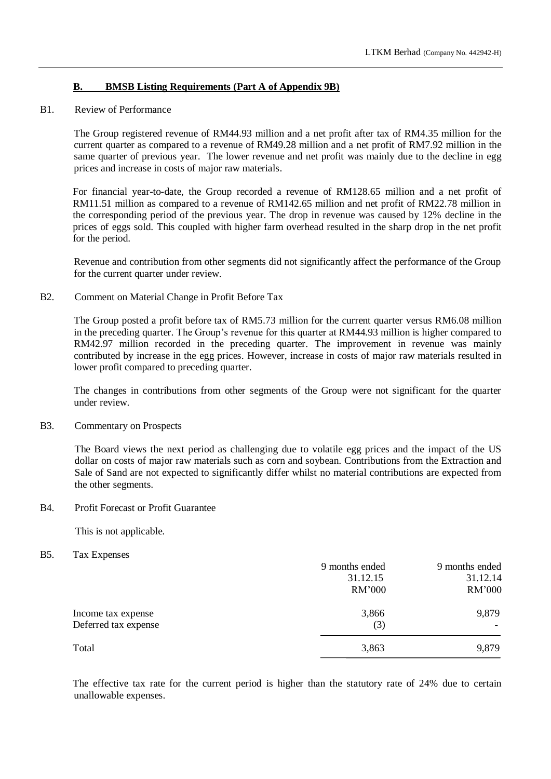# **B. BMSB Listing Requirements (Part A of Appendix 9B)**

### B1. Review of Performance

The Group registered revenue of RM44.93 million and a net profit after tax of RM4.35 million for the current quarter as compared to a revenue of RM49.28 million and a net profit of RM7.92 million in the same quarter of previous year. The lower revenue and net profit was mainly due to the decline in egg prices and increase in costs of major raw materials.

For financial year-to-date, the Group recorded a revenue of RM128.65 million and a net profit of RM11.51 million as compared to a revenue of RM142.65 million and net profit of RM22.78 million in the corresponding period of the previous year. The drop in revenue was caused by 12% decline in the prices of eggs sold. This coupled with higher farm overhead resulted in the sharp drop in the net profit for the period.

Revenue and contribution from other segments did not significantly affect the performance of the Group for the current quarter under review.

### B2. Comment on Material Change in Profit Before Tax

The Group posted a profit before tax of RM5.73 million for the current quarter versus RM6.08 million in the preceding quarter. The Group's revenue for this quarter at RM44.93 million is higher compared to RM42.97 million recorded in the preceding quarter. The improvement in revenue was mainly contributed by increase in the egg prices. However, increase in costs of major raw materials resulted in lower profit compared to preceding quarter.

The changes in contributions from other segments of the Group were not significant for the quarter under review.

### B3. Commentary on Prospects

The Board views the next period as challenging due to volatile egg prices and the impact of the US dollar on costs of major raw materials such as corn and soybean. Contributions from the Extraction and Sale of Sand are not expected to significantly differ whilst no material contributions are expected from the other segments.

### B4. Profit Forecast or Profit Guarantee

This is not applicable.

### B5. Tax Expenses

|                      | 9 months ended | 9 months ended |
|----------------------|----------------|----------------|
|                      | 31.12.15       | 31.12.14       |
|                      | RM'000         | <b>RM'000</b>  |
| Income tax expense   | 3,866          | 9,879          |
| Deferred tax expense | (3)            |                |
| Total                | 3,863          | 9,879          |

The effective tax rate for the current period is higher than the statutory rate of 24% due to certain unallowable expenses.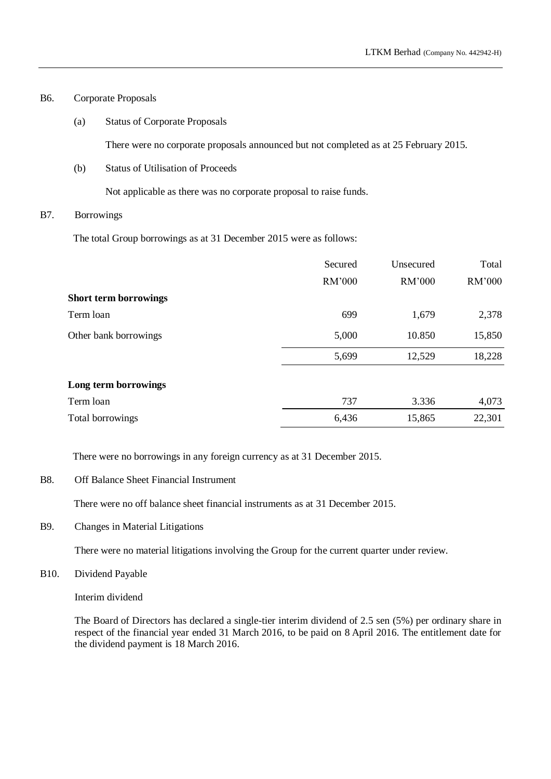# B6. Corporate Proposals

(a) Status of Corporate Proposals

There were no corporate proposals announced but not completed as at 25 February 2015.

(b) Status of Utilisation of Proceeds

Not applicable as there was no corporate proposal to raise funds.

# B7. Borrowings

The total Group borrowings as at 31 December 2015 were as follows:

|                              | Secured | Unsecured | Total  |
|------------------------------|---------|-----------|--------|
|                              | RM'000  | RM'000    | RM'000 |
| <b>Short term borrowings</b> |         |           |        |
| Term loan                    | 699     | 1,679     | 2,378  |
| Other bank borrowings        | 5,000   | 10.850    | 15,850 |
|                              | 5,699   | 12,529    | 18,228 |
| Long term borrowings         |         |           |        |
| Term loan                    | 737     | 3.336     | 4,073  |
| Total borrowings             | 6,436   | 15,865    | 22,301 |

There were no borrowings in any foreign currency as at 31 December 2015.

B8. Off Balance Sheet Financial Instrument

There were no off balance sheet financial instruments as at 31 December 2015.

B9. Changes in Material Litigations

There were no material litigations involving the Group for the current quarter under review.

B10. Dividend Payable

Interim dividend

The Board of Directors has declared a single-tier interim dividend of 2.5 sen (5%) per ordinary share in respect of the financial year ended 31 March 2016, to be paid on 8 April 2016. The entitlement date for the dividend payment is 18 March 2016.